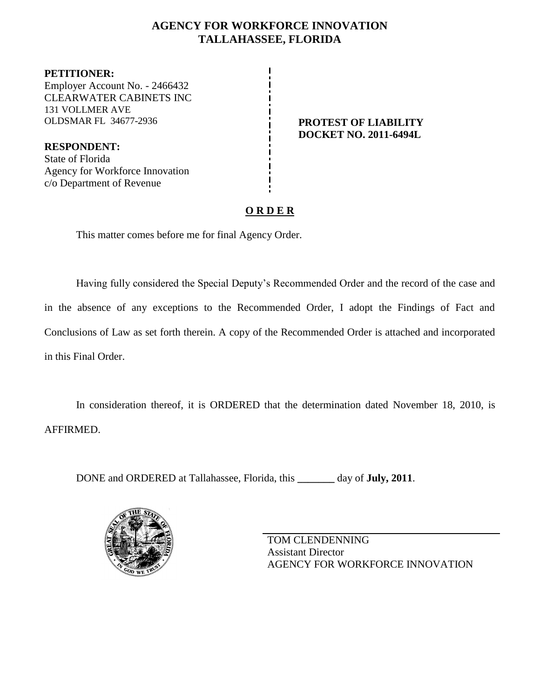# **AGENCY FOR WORKFORCE INNOVATION TALLAHASSEE, FLORIDA**

**PETITIONER:** Employer Account No. - 2466432 CLEARWATER CABINETS INC 131 VOLLMER AVE OLDSMAR FL 34677-2936 **PROTEST OF LIABILITY**

**RESPONDENT:** State of Florida Agency for Workforce Innovation c/o Department of Revenue

**DOCKET NO. 2011-6494L**

# **O R D E R**

This matter comes before me for final Agency Order.

Having fully considered the Special Deputy's Recommended Order and the record of the case and in the absence of any exceptions to the Recommended Order, I adopt the Findings of Fact and Conclusions of Law as set forth therein. A copy of the Recommended Order is attached and incorporated in this Final Order.

In consideration thereof, it is ORDERED that the determination dated November 18, 2010, is AFFIRMED.

DONE and ORDERED at Tallahassee, Florida, this **\_\_\_\_\_\_\_** day of **July, 2011**.



TOM CLENDENNING Assistant Director AGENCY FOR WORKFORCE INNOVATION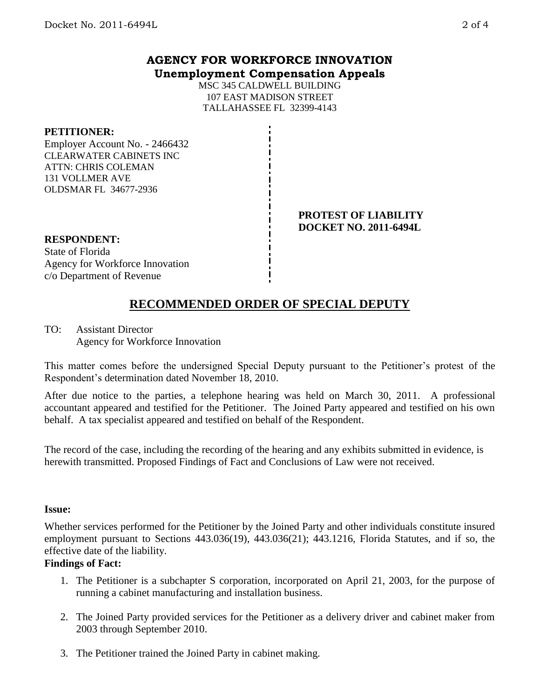# **AGENCY FOR WORKFORCE INNOVATION Unemployment Compensation Appeals**

MSC 345 CALDWELL BUILDING 107 EAST MADISON STREET TALLAHASSEE FL 32399-4143

### **PETITIONER:**

Employer Account No. - 2466432 CLEARWATER CABINETS INC ATTN: CHRIS COLEMAN 131 VOLLMER AVE OLDSMAR FL 34677-2936

#### **PROTEST OF LIABILITY DOCKET NO. 2011-6494L**

# **RESPONDENT:**

State of Florida Agency for Workforce Innovation c/o Department of Revenue

# **RECOMMENDED ORDER OF SPECIAL DEPUTY**

TO: Assistant Director Agency for Workforce Innovation

This matter comes before the undersigned Special Deputy pursuant to the Petitioner's protest of the Respondent's determination dated November 18, 2010.

After due notice to the parties, a telephone hearing was held on March 30, 2011. A professional accountant appeared and testified for the Petitioner. The Joined Party appeared and testified on his own behalf. A tax specialist appeared and testified on behalf of the Respondent.

The record of the case, including the recording of the hearing and any exhibits submitted in evidence, is herewith transmitted. Proposed Findings of Fact and Conclusions of Law were not received.

### **Issue:**

Whether services performed for the Petitioner by the Joined Party and other individuals constitute insured employment pursuant to Sections 443.036(19), 443.036(21); 443.1216, Florida Statutes, and if so, the effective date of the liability.

### **Findings of Fact:**

- 1. The Petitioner is a subchapter S corporation, incorporated on April 21, 2003, for the purpose of running a cabinet manufacturing and installation business.
- 2. The Joined Party provided services for the Petitioner as a delivery driver and cabinet maker from 2003 through September 2010.
- 3. The Petitioner trained the Joined Party in cabinet making.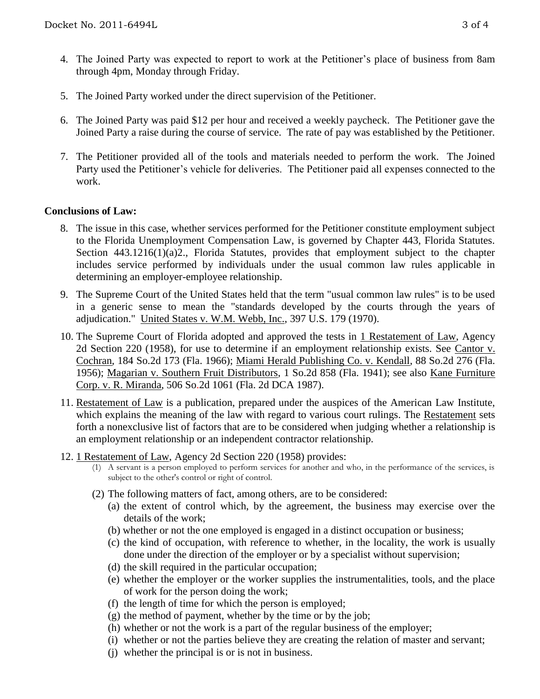- 4. The Joined Party was expected to report to work at the Petitioner's place of business from 8am through 4pm, Monday through Friday.
- 5. The Joined Party worked under the direct supervision of the Petitioner.
- 6. The Joined Party was paid \$12 per hour and received a weekly paycheck. The Petitioner gave the Joined Party a raise during the course of service. The rate of pay was established by the Petitioner.
- 7. The Petitioner provided all of the tools and materials needed to perform the work. The Joined Party used the Petitioner's vehicle for deliveries. The Petitioner paid all expenses connected to the work.

### **Conclusions of Law:**

- 8. The issue in this case, whether services performed for the Petitioner constitute employment subject to the Florida Unemployment Compensation Law, is governed by Chapter 443, Florida Statutes. Section 443.1216(1)(a)2., Florida Statutes, provides that employment subject to the chapter includes service performed by individuals under the usual common law rules applicable in determining an employer-employee relationship.
- 9. The Supreme Court of the United States held that the term "usual common law rules" is to be used in a generic sense to mean the "standards developed by the courts through the years of adjudication." United States v. W.M. Webb, Inc., 397 U.S. 179 (1970).
- 10. The Supreme Court of Florida adopted and approved the tests in 1 Restatement of Law, Agency 2d Section 220 (1958), for use to determine if an employment relationship exists. See Cantor v. Cochran, 184 So.2d 173 (Fla. 1966); Miami Herald Publishing Co. v. Kendall, 88 So.2d 276 (Fla. 1956); Magarian v. Southern Fruit Distributors, 1 So.2d 858 (Fla. 1941); see also Kane Furniture Corp. v. R. Miranda, 506 So.2d 1061 (Fla. 2d DCA 1987).
- 11. Restatement of Law is a publication, prepared under the auspices of the American Law Institute, which explains the meaning of the law with regard to various court rulings. The Restatement sets forth a nonexclusive list of factors that are to be considered when judging whether a relationship is an employment relationship or an independent contractor relationship.
- 12. 1 Restatement of Law, Agency 2d Section 220 (1958) provides:
	- (1) A servant is a person employed to perform services for another and who, in the performance of the services, is subject to the other's control or right of control.
	- (2) The following matters of fact, among others, are to be considered:
		- (a) the extent of control which, by the agreement, the business may exercise over the details of the work;
		- (b) whether or not the one employed is engaged in a distinct occupation or business;
		- (c) the kind of occupation, with reference to whether, in the locality, the work is usually done under the direction of the employer or by a specialist without supervision;
		- (d) the skill required in the particular occupation;
		- (e) whether the employer or the worker supplies the instrumentalities, tools, and the place of work for the person doing the work;
		- (f) the length of time for which the person is employed;
		- (g) the method of payment, whether by the time or by the job;
		- (h) whether or not the work is a part of the regular business of the employer;
		- (i) whether or not the parties believe they are creating the relation of master and servant;
		- (j) whether the principal is or is not in business.